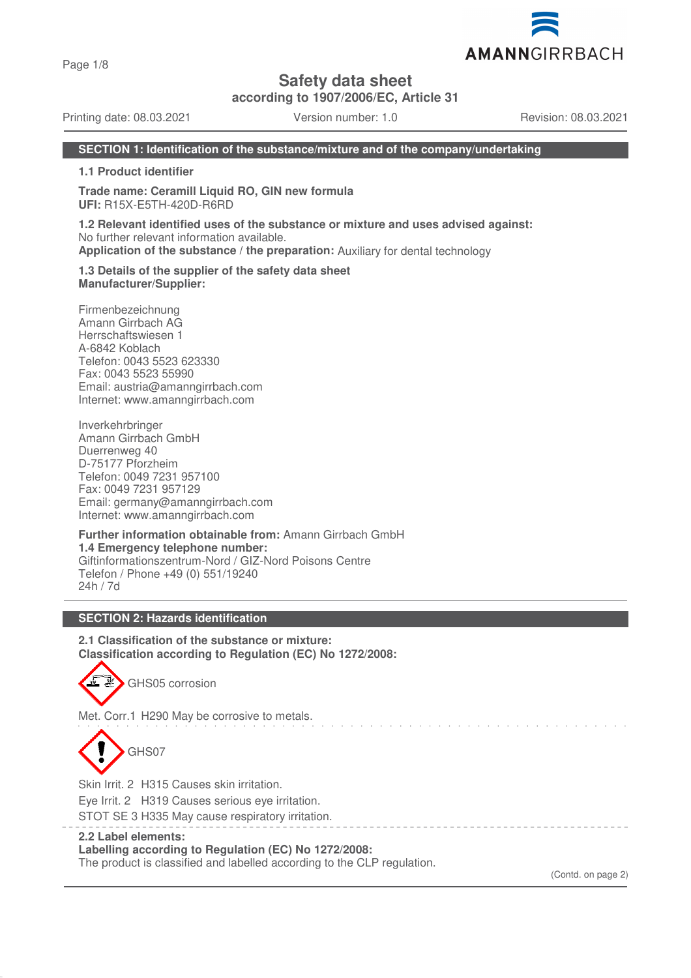Page 1/8

**Safety data sheet**

**according to 1907/2006/EC, Article 31**

Printing date: 08.03.2021 Version number: 1.0 Revision: 08.03.2021

#### **SECTION 1: Identification of the substance/mixture and of the company/undertaking**

**1.1 Product identifier**

**Trade name: Ceramill Liquid RO, GIN new formula UFI:** R15X-E5TH-420D-R6RD

**1.2 Relevant identified uses of the substance or mixture and uses advised against:** No further relevant information available. **Application of the substance / the preparation:** Auxiliary for dental technology

**1.3 Details of the supplier of the safety data sheet Manufacturer/Supplier:**

Firmenbezeichnung Amann Girrbach AG Herrschaftswiesen 1 A-6842 Koblach Telefon: 0043 5523 623330 Fax: 0043 5523 55990 Email: austria@amanngirrbach.com Internet: www.amanngirrbach.com

Inverkehrbringer Amann Girrbach GmbH Duerrenweg 40 D-75177 Pforzheim Telefon: 0049 7231 957100 Fax: 0049 7231 957129 Email: germany@amanngirrbach.com Internet: www.amanngirrbach.com

**Further information obtainable from:** Amann Girrbach GmbH **1.4 Emergency telephone number:** Giftinformationszentrum-Nord / GIZ-Nord Poisons Centre Telefon / Phone +49 (0) 551/19240 24h / 7d

#### **SECTION 2: Hazards identification**

**2.1 Classification of the substance or mixture: Classification according to Regulation (EC) No 1272/2008:**

GHS05 corrosion

Met. Corr.1 H290 May be corrosive to metals.

GHS07

Skin Irrit. 2 H315 Causes skin irritation.

Eye Irrit. 2 H319 Causes serious eye irritation.

STOT SE 3 H335 May cause respiratory irritation.

# **2.2 Label elements:**

# **Labelling according to Regulation (EC) No 1272/2008:**

The product is classified and labelled according to the CLP regulation.

(Contd. on page 2)

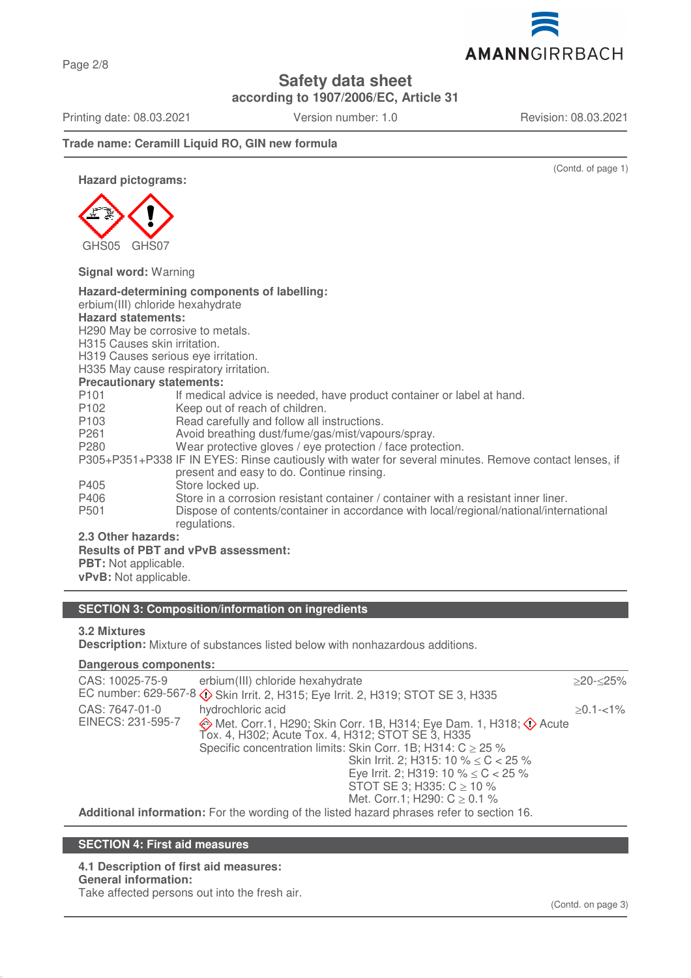Page 2/8

# **Safety data sheet**

**according to 1907/2006/EC, Article 31**

Printing date: 08.03.2021 Version number: 1.0 Revision: 08.03.2021

AMANNGIRRBACH

(Contd. of page 1)

**Trade name: Ceramill Liquid RO, GIN new formula**

**Hazard pictograms:**



**Signal word:** Warning

| Hazard-determining components of labelling:<br>erbium(III) chloride hexahydrate<br><b>Hazard statements:</b><br>H <sub>290</sub> May be corrosive to metals.<br>H315 Causes skin irritation.<br>H319 Causes serious eye irritation.<br>H335 May cause respiratory irritation. |                                                                                        |  |  |  |
|-------------------------------------------------------------------------------------------------------------------------------------------------------------------------------------------------------------------------------------------------------------------------------|----------------------------------------------------------------------------------------|--|--|--|
| <b>Precautionary statements:</b>                                                                                                                                                                                                                                              |                                                                                        |  |  |  |
| P <sub>101</sub>                                                                                                                                                                                                                                                              | If medical advice is needed, have product container or label at hand.                  |  |  |  |
| P <sub>102</sub>                                                                                                                                                                                                                                                              | Keep out of reach of children.                                                         |  |  |  |
| P <sub>103</sub>                                                                                                                                                                                                                                                              | Read carefully and follow all instructions.                                            |  |  |  |
| P <sub>261</sub>                                                                                                                                                                                                                                                              | Avoid breathing dust/fume/gas/mist/vapours/spray.                                      |  |  |  |
| P <sub>280</sub>                                                                                                                                                                                                                                                              | Wear protective gloves / eye protection / face protection.                             |  |  |  |
| P305+P351+P338 IF IN EYES: Rinse cautiously with water for several minutes. Remove contact lenses, if<br>present and easy to do. Continue rinsing.                                                                                                                            |                                                                                        |  |  |  |
| P405                                                                                                                                                                                                                                                                          | Store locked up.                                                                       |  |  |  |
| P406                                                                                                                                                                                                                                                                          | Store in a corrosion resistant container / container with a resistant inner liner.     |  |  |  |
| P <sub>501</sub>                                                                                                                                                                                                                                                              | Dispose of contents/container in accordance with local/regional/national/international |  |  |  |
|                                                                                                                                                                                                                                                                               | regulations.                                                                           |  |  |  |
| 2.3 Other hazards:                                                                                                                                                                                                                                                            |                                                                                        |  |  |  |
| <b>Results of PBT and vPvB assessment:</b>                                                                                                                                                                                                                                    |                                                                                        |  |  |  |
| <b>PBT:</b> Not applicable.                                                                                                                                                                                                                                                   |                                                                                        |  |  |  |
| vPvB: Not applicable.                                                                                                                                                                                                                                                         |                                                                                        |  |  |  |

# **SECTION 3: Composition/information on ingredients**

# **3.2 Mixtures**

**Description:** Mixture of substances listed below with nonhazardous additions.

#### **Dangerous components:**

| CAS: 10025-75-9                                                                           | erbium(III) chloride hexahydrate                                                                                      | $>$ 20- $<$ 25% |  |  |
|-------------------------------------------------------------------------------------------|-----------------------------------------------------------------------------------------------------------------------|-----------------|--|--|
|                                                                                           | EC number: 629-567-8 $\circled{}$ Skin Irrit. 2, H315; Eye Irrit. 2, H319; STOT SE 3, H335                            |                 |  |  |
| CAS: 7647-01-0                                                                            | hydrochloric acid                                                                                                     | $>0.1 - 1\%$    |  |  |
| EINECS: 231-595-7                                                                         | ◈ Met. Corr.1, H290; Skin Corr. 1B, H314; Eye Dam. 1, H318; ◇ Acute Tox. 4, H302; Acute Tox. 4, H312; STOT SE 3, H335 |                 |  |  |
|                                                                                           | Specific concentration limits: Skin Corr. 1B; H314: $C \ge 25$ %                                                      |                 |  |  |
|                                                                                           | Skin Irrit. 2; H315: 10 % $\leq$ C $<$ 25 %                                                                           |                 |  |  |
|                                                                                           | Eye Irrit. 2; H319: 10 % $\leq$ C < 25 %                                                                              |                 |  |  |
|                                                                                           | STOT SE 3; H335: $C \ge 10$ %                                                                                         |                 |  |  |
|                                                                                           | Met. Corr.1; H290: $C \ge 0.1$ %                                                                                      |                 |  |  |
| Additional information: For the wording of the listed hazard phrases refer to section 16. |                                                                                                                       |                 |  |  |

## **SECTION 4: First aid measures**

# **4.1 Description of first aid measures:**

**General information:**

Take affected persons out into the fresh air.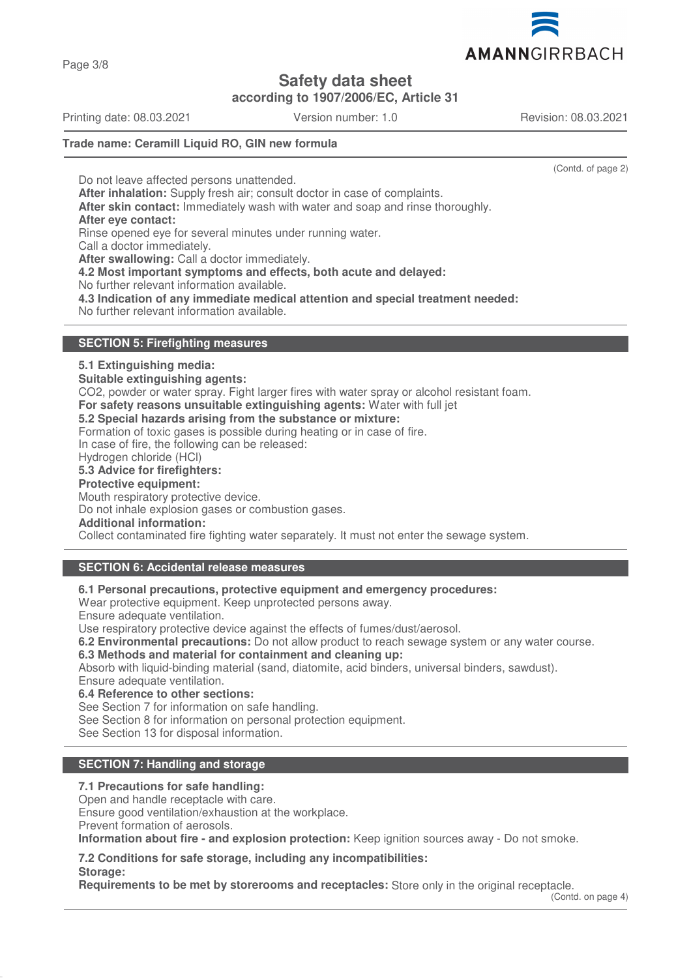Page 3/8

# **Safety data sheet**

**according to 1907/2006/EC, Article 31**

Printing date: 08.03.2021 Version number: 1.0 Revision: 08.03.2021

# **Trade name: Ceramill Liquid RO, GIN new formula**

(Contd. of page 2)

Do not leave affected persons unattended. **After inhalation:** Supply fresh air; consult doctor in case of complaints. **After skin contact:** Immediately wash with water and soap and rinse thoroughly. **After eye contact:** Rinse opened eye for several minutes under running water. Call a doctor immediately. **After swallowing:** Call a doctor immediately. **4.2 Most important symptoms and effects, both acute and delayed:** No further relevant information available. **4.3 Indication of any immediate medical attention and special treatment needed:** No further relevant information available.

## **SECTION 5: Firefighting measures**

## **5.1 Extinguishing media:**

**Suitable extinguishing agents:**

CO2, powder or water spray. Fight larger fires with water spray or alcohol resistant foam.

**For safety reasons unsuitable extinguishing agents:** Water with full jet

#### **5.2 Special hazards arising from the substance or mixture:**

Formation of toxic gases is possible during heating or in case of fire.

In case of fire, the following can be released:

Hydrogen chloride (HCl)

## **5.3 Advice for firefighters:**

**Protective equipment:**

Mouth respiratory protective device.

Do not inhale explosion gases or combustion gases.

#### **Additional information:**

Collect contaminated fire fighting water separately. It must not enter the sewage system.

# **SECTION 6: Accidental release measures**

**6.1 Personal precautions, protective equipment and emergency procedures:**

Wear protective equipment. Keep unprotected persons away.

Ensure adequate ventilation.

Use respiratory protective device against the effects of fumes/dust/aerosol.

**6.2 Environmental precautions:** Do not allow product to reach sewage system or any water course.

**6.3 Methods and material for containment and cleaning up:**

Absorb with liquid-binding material (sand, diatomite, acid binders, universal binders, sawdust). Ensure adequate ventilation.

**6.4 Reference to other sections:**

See Section 7 for information on safe handling.

See Section 8 for information on personal protection equipment.

See Section 13 for disposal information.

# **SECTION 7: Handling and storage**

#### **7.1 Precautions for safe handling:**

Open and handle receptacle with care.

Ensure good ventilation/exhaustion at the workplace.

Prevent formation of aerosols.

**Storage:**

**Information about fire - and explosion protection:** Keep ignition sources away - Do not smoke.

**7.2 Conditions for safe storage, including any incompatibilities:**

**Requirements to be met by storerooms and receptacles:** Store only in the original receptacle.

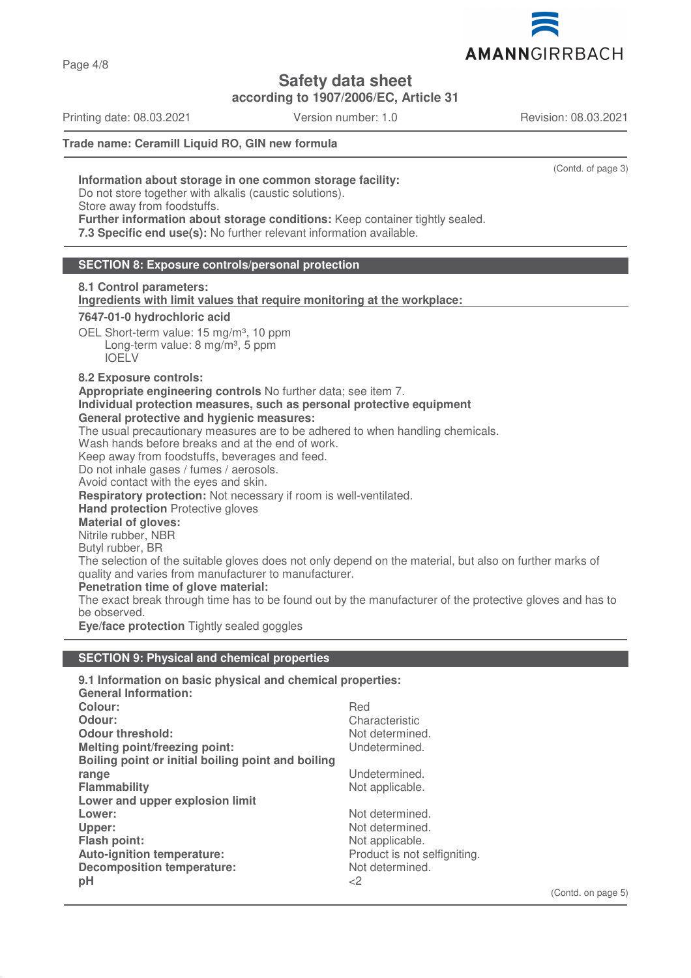

**according to 1907/2006/EC, Article 31**

Printing date: 08.03.2021 Version number: 1.0 Revision: 08.03.2021

# **Trade name: Ceramill Liquid RO, GIN new formula**

(Contd. of page 3)

(Contd. on page 5)

**Information about storage in one common storage facility:** Do not store together with alkalis (caustic solutions). Store away from foodstuffs. **Further information about storage conditions:** Keep container tightly sealed.

**7.3 Specific end use(s):** No further relevant information available.

#### **SECTION 8: Exposure controls/personal protection**

**8.1 Control parameters:**

**Ingredients with limit values that require monitoring at the workplace:** 

#### **7647-01-0 hydrochloric acid**

OEL Short-term value: 15 mg/m<sup>3</sup>, 10 ppm Long-term value:  $8 \text{ mg/m}^3$ , 5 ppm IOELV

#### **8.2 Exposure controls:**

**Appropriate engineering controls** No further data; see item 7.

**Individual protection measures, such as personal protective equipment**

#### **General protective and hygienic measures:**

The usual precautionary measures are to be adhered to when handling chemicals.

Wash hands before breaks and at the end of work.

Keep away from foodstuffs, beverages and feed.

Do not inhale gases / fumes / aerosols.

Avoid contact with the eyes and skin.

**Respiratory protection:** Not necessary if room is well-ventilated.

**Hand protection** Protective gloves

#### **Material of gloves:**

Nitrile rubber, NBR

Butyl rubber, BR

The selection of the suitable gloves does not only depend on the material, but also on further marks of quality and varies from manufacturer to manufacturer.

#### **Penetration time of glove material:**

The exact break through time has to be found out by the manufacturer of the protective gloves and has to be observed.

**Eye/face protection** Tightly sealed goggles

#### **SECTION 9: Physical and chemical properties**

| 9.1 Information on basic physical and chemical properties: |                              |
|------------------------------------------------------------|------------------------------|
| <b>General Information:</b>                                |                              |
| Colour:                                                    | Red                          |
| Odour:                                                     | Characteristic               |
| <b>Odour threshold:</b>                                    | Not determined.              |
| <b>Melting point/freezing point:</b>                       | Undetermined.                |
| Boiling point or initial boiling point and boiling         |                              |
| range                                                      | Undetermined.                |
| <b>Flammability</b>                                        | Not applicable.              |
| Lower and upper explosion limit                            |                              |
| Lower:                                                     | Not determined.              |
| Upper:                                                     | Not determined.              |
| <b>Flash point:</b>                                        | Not applicable.              |
| Auto-ignition temperature:                                 | Product is not selfigniting. |
| <b>Decomposition temperature:</b>                          | Not determined.              |
| pH                                                         | <2                           |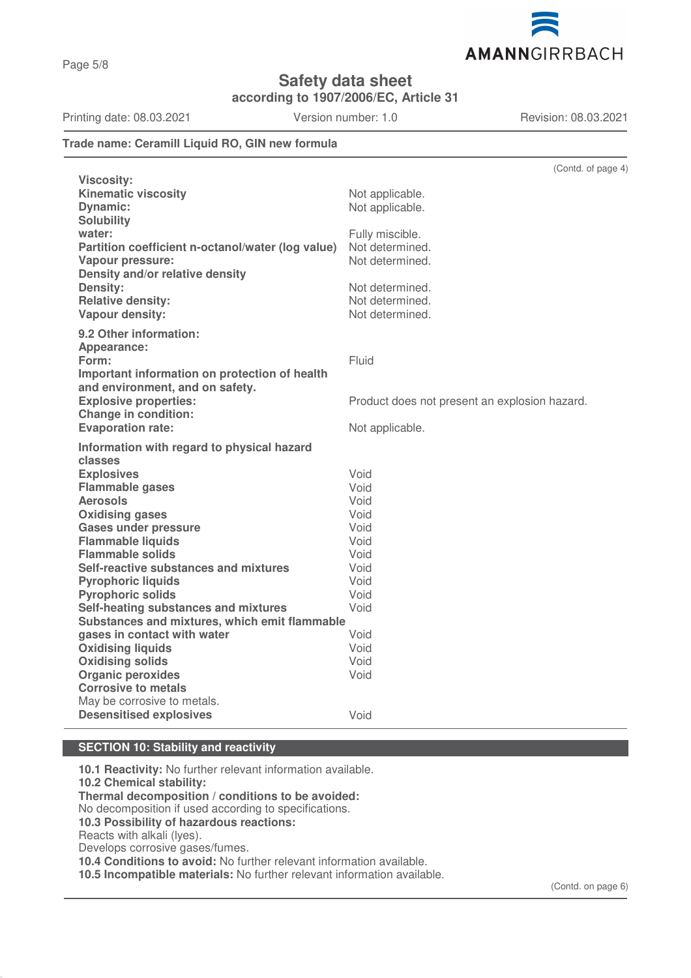

**according to 1907/2006/EC, Article 31**

Printing date: 08.03.2021 Version number: 1.0 Revision: 08.03.2021

AMANNGIRRBACH

# **Trade name: Ceramill Liquid RO, GIN new formula**

|                                                   | (Contd. of page 4)                            |
|---------------------------------------------------|-----------------------------------------------|
| <b>Viscosity:</b>                                 |                                               |
| <b>Kinematic viscosity</b>                        | Not applicable.                               |
| <b>Dynamic:</b>                                   | Not applicable.                               |
| <b>Solubility</b>                                 |                                               |
| water:                                            | Fully miscible.                               |
| Partition coefficient n-octanol/water (log value) | Not determined.                               |
| Vapour pressure:                                  | Not determined.                               |
| Density and/or relative density                   |                                               |
| <b>Density:</b>                                   | Not determined.                               |
| <b>Relative density:</b>                          | Not determined.                               |
| Vapour density:                                   | Not determined.                               |
| 9.2 Other information:                            |                                               |
| Appearance:                                       |                                               |
| Form:                                             | Fluid                                         |
| Important information on protection of health     |                                               |
| and environment, and on safety.                   |                                               |
| <b>Explosive properties:</b>                      | Product does not present an explosion hazard. |
| <b>Change in condition:</b>                       |                                               |
| <b>Evaporation rate:</b>                          | Not applicable.                               |
| Information with regard to physical hazard        |                                               |
| classes                                           |                                               |
| <b>Explosives</b>                                 | Void                                          |
| <b>Flammable gases</b>                            | Void                                          |
| <b>Aerosols</b>                                   | Void                                          |
| <b>Oxidising gases</b>                            | Void                                          |
| <b>Gases under pressure</b>                       | Void                                          |
| <b>Flammable liquids</b>                          | Void                                          |
| <b>Flammable solids</b>                           | Void                                          |
| Self-reactive substances and mixtures             | Void                                          |
| <b>Pyrophoric liquids</b>                         | Void                                          |
| <b>Pyrophoric solids</b>                          | Void                                          |
| Self-heating substances and mixtures              | Void                                          |
| Substances and mixtures, which emit flammable     |                                               |
| gases in contact with water                       | Void                                          |
| <b>Oxidising liquids</b>                          | Void                                          |
| <b>Oxidising solids</b>                           | Void                                          |
| <b>Organic peroxides</b>                          | Void                                          |
| <b>Corrosive to metals</b>                        |                                               |
| May be corrosive to metals.                       |                                               |
| <b>Desensitised explosives</b>                    | Void                                          |
|                                                   |                                               |

# **SECTION 10: Stability and reactivity**

**10.1 Reactivity:** No further relevant information available. **10.2 Chemical stability: Thermal decomposition / conditions to be avoided:** No decomposition if used according to specifications. **10.3 Possibility of hazardous reactions:** Reacts with alkali (lyes). Develops corrosive gases/fumes. **10.4 Conditions to avoid:** No further relevant information available. **10.5 Incompatible materials:** No further relevant information available.

(Contd. on page 6)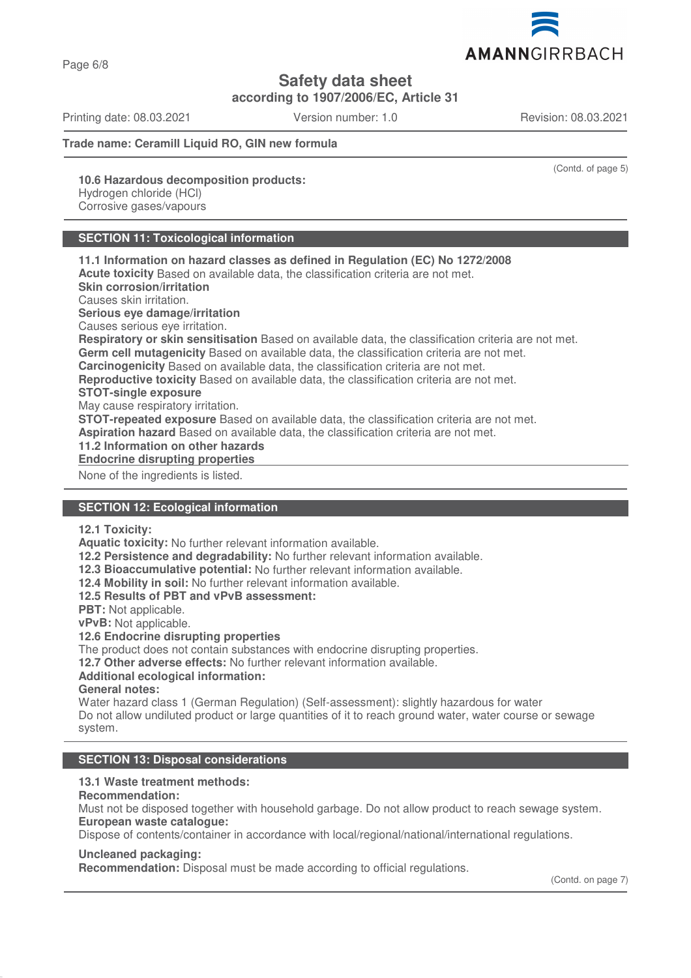Page 6/8

**Safety data sheet**

**according to 1907/2006/EC, Article 31**

Printing date: 08.03.2021 Version number: 1.0 Revision: 08.03.2021

**Trade name: Ceramill Liquid RO, GIN new formula**

(Contd. of page 5)

**10.6 Hazardous decomposition products:** Hydrogen chloride (HCl)

Corrosive gases/vapours

# **SECTION 11: Toxicological information**

**11.1 Information on hazard classes as defined in Regulation (EC) No 1272/2008 Acute toxicity** Based on available data, the classification criteria are not met. **Skin corrosion/irritation** Causes skin irritation. **Serious eye damage/irritation** Causes serious eye irritation. **Respiratory or skin sensitisation** Based on available data, the classification criteria are not met. **Germ cell mutagenicity** Based on available data, the classification criteria are not met. **Carcinogenicity** Based on available data, the classification criteria are not met. **Reproductive toxicity** Based on available data, the classification criteria are not met. **STOT-single exposure** May cause respiratory irritation. **STOT-repeated exposure** Based on available data, the classification criteria are not met. **Aspiration hazard** Based on available data, the classification criteria are not met. **11.2 Information on other hazards**

**Endocrine disrupting properties** 

None of the ingredients is listed.

# **SECTION 12: Ecological information**

**12.1 Toxicity:**

**Aquatic toxicity:** No further relevant information available.

**12.2 Persistence and degradability:** No further relevant information available.

**12.3 Bioaccumulative potential:** No further relevant information available.

**12.4 Mobility in soil:** No further relevant information available.

**12.5 Results of PBT and vPvB assessment:**

**PBT:** Not applicable.

**vPvB:** Not applicable.

**12.6 Endocrine disrupting properties**

The product does not contain substances with endocrine disrupting properties.

**12.7 Other adverse effects:** No further relevant information available.

#### **Additional ecological information:**

**General notes:**

Water hazard class 1 (German Regulation) (Self-assessment): slightly hazardous for water Do not allow undiluted product or large quantities of it to reach ground water, water course or sewage system.

#### **SECTION 13: Disposal considerations**

#### **13.1 Waste treatment methods:**

#### **Recommendation:**

Must not be disposed together with household garbage. Do not allow product to reach sewage system. **European waste catalogue:**

Dispose of contents/container in accordance with local/regional/national/international regulations.

#### **Uncleaned packaging:**

**Recommendation:** Disposal must be made according to official regulations.

(Contd. on page 7)

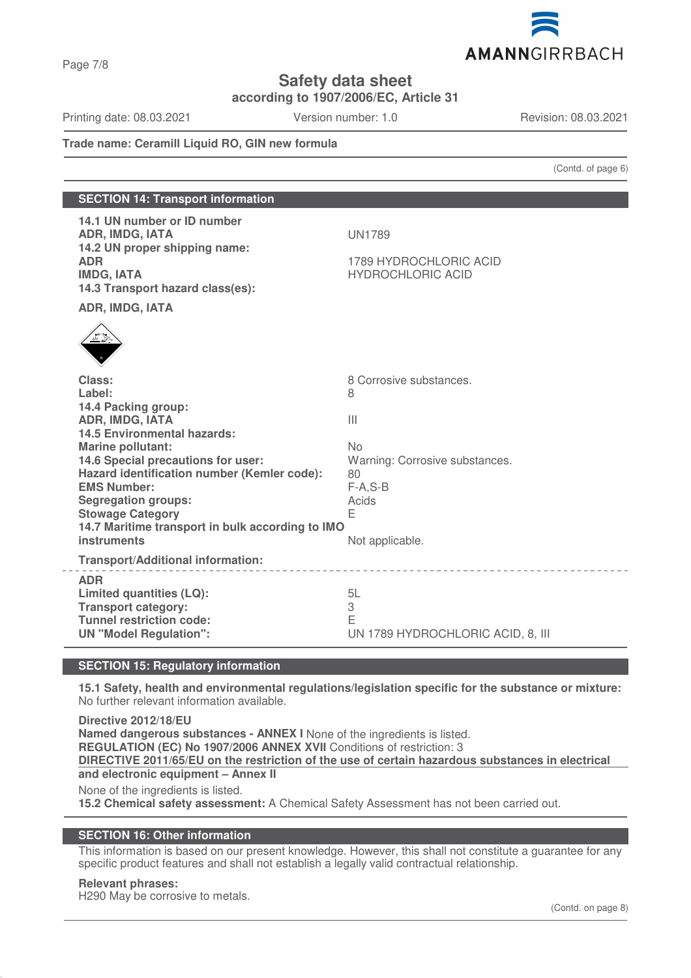

**according to 1907/2006/EC, Article 31**

Printing date: 08.03.2021 Version number: 1.0 Revision: 08.03.2021

Page 7/8

# **Trade name: Ceramill Liquid RO, GIN new formula**

(Contd. of page 6)

| <b>SECTION 14: Transport information</b>                                                                                                                                                                                                                                                                                                               |                                                                                                       |  |  |
|--------------------------------------------------------------------------------------------------------------------------------------------------------------------------------------------------------------------------------------------------------------------------------------------------------------------------------------------------------|-------------------------------------------------------------------------------------------------------|--|--|
| 14.1 UN number or ID number<br>ADR, IMDG, IATA<br>14.2 UN proper shipping name:<br><b>ADR</b><br><b>IMDG, IATA</b><br>14.3 Transport hazard class(es):                                                                                                                                                                                                 | <b>UN1789</b><br>1789 HYDROCHLORIC ACID<br><b>HYDROCHLORIC ACID</b>                                   |  |  |
| ADR, IMDG, IATA                                                                                                                                                                                                                                                                                                                                        |                                                                                                       |  |  |
|                                                                                                                                                                                                                                                                                                                                                        |                                                                                                       |  |  |
| Class:<br>Label:                                                                                                                                                                                                                                                                                                                                       | 8 Corrosive substances.<br>8                                                                          |  |  |
| 14.4 Packing group:<br><b>ADR, IMDG, IATA</b><br><b>14.5 Environmental hazards:</b><br><b>Marine pollutant:</b><br>14.6 Special precautions for user:<br>Hazard identification number (Kemler code):<br><b>EMS Number:</b><br><b>Segregation groups:</b><br><b>Stowage Category</b><br>14.7 Maritime transport in bulk according to IMO<br>instruments | Ш<br><b>No</b><br>Warning: Corrosive substances.<br>80<br>$F-A, S-B$<br>Acids<br>E<br>Not applicable. |  |  |
| <b>Transport/Additional information:</b>                                                                                                                                                                                                                                                                                                               |                                                                                                       |  |  |
| <b>ADR</b><br><b>Limited quantities (LQ):</b><br><b>Transport category:</b><br><b>Tunnel restriction code:</b><br><b>UN "Model Regulation":</b>                                                                                                                                                                                                        | 5L<br>3<br>E<br>UN 1789 HYDROCHLORIC ACID, 8, III                                                     |  |  |

# **SECTION 15: Regulatory information**

**15.1 Safety, health and environmental regulations/legislation specific for the substance or mixture:** No further relevant information available.

**Directive 2012/18/EU Named dangerous substances - ANNEX I** None of the ingredients is listed. **REGULATION (EC) No 1907/2006 ANNEX XVII** Conditions of restriction: 3 **DIRECTIVE 2011/65/EU on the restriction of the use of certain hazardous substances in electrical and electronic equipment – Annex II** None of the ingredients is listed. **15.2 Chemical safety assessment:** A Chemical Safety Assessment has not been carried out.

# **SECTION 16: Other information**

This information is based on our present knowledge. However, this shall not constitute a guarantee for any specific product features and shall not establish a legally valid contractual relationship.

#### **Relevant phrases:**

H290 May be corrosive to metals.